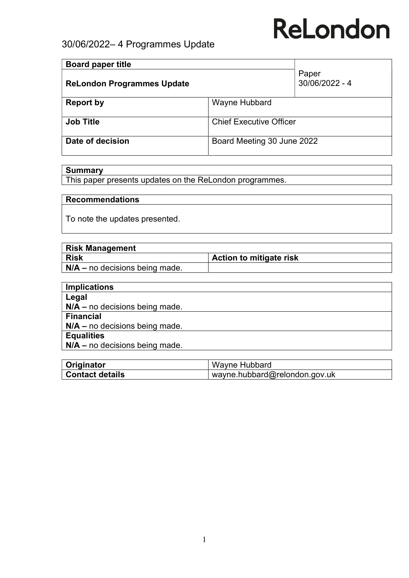### 30/06/2022– 4 Programmes Update

| <b>Board paper title</b>          |                                |                         |
|-----------------------------------|--------------------------------|-------------------------|
| <b>ReLondon Programmes Update</b> |                                | Paper<br>30/06/2022 - 4 |
| <b>Report by</b>                  | Wayne Hubbard                  |                         |
| <b>Job Title</b>                  | <b>Chief Executive Officer</b> |                         |
| Date of decision                  | Board Meeting 30 June 2022     |                         |

#### **Summary**

This paper presents updates on the ReLondon programmes.

#### Recommendations

To note the updates presented.

| <b>Risk Management</b>                 |                         |
|----------------------------------------|-------------------------|
| Risk                                   | Action to mitigate risk |
| $\vert$ N/A – no decisions being made. |                         |

| <b>Implications</b>              |
|----------------------------------|
| Legal                            |
| $N/A$ – no decisions being made. |
| <b>Financial</b>                 |
| $N/A$ – no decisions being made. |
| <b>Equalities</b>                |
| $N/A$ – no decisions being made. |

| Originator      | Wayne Hubbard                 |  |
|-----------------|-------------------------------|--|
| Contact details | wayne.hubbard@relondon.gov.uk |  |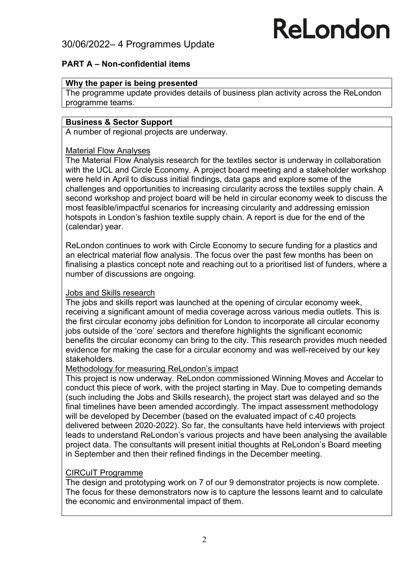### 30/06/2022– 4 Programmes Update

# ReLondon

#### PART A – Non-confidential items

#### Why the paper is being presented

The programme update provides details of business plan activity across the ReLondon programme teams.

#### Business & Sector Support

A number of regional projects are underway.

#### Material Flow Analyses

The Material Flow Analysis research for the textiles sector is underway in collaboration with the UCL and Circle Economy. A project board meeting and a stakeholder workshop were held in April to discuss initial findings, data gaps and explore some of the challenges and opportunities to increasing circularity across the textiles supply chain. A second workshop and project board will be held in circular economy week to discuss the most feasible/impactful scenarios for increasing circularity and addressing emission hotspots in London's fashion textile supply chain. A report is due for the end of the (calendar) year.

ReLondon continues to work with Circle Economy to secure funding for a plastics and an electrical material flow analysis. The focus over the past few months has been on finalising a plastics concept note and reaching out to a prioritised list of funders, where a number of discussions are ongoing.

#### Jobs and Skills research

The jobs and skills report was launched at the opening of circular economy week, receiving a significant amount of media coverage across various media outlets. This is the first circular economy jobs definition for London to incorporate all circular economy jobs outside of the 'core' sectors and therefore highlights the significant economic benefits the circular economy can bring to the city. This research provides much needed evidence for making the case for a circular economy and was well-received by our key stakeholders.

#### Methodology for measuring ReLondon's impact

This project is now underway. ReLondon commissioned Winning Moves and Accelar to conduct this piece of work, with the project starting in May. Due to competing demands (such including the Jobs and Skills research), the project start was delayed and so the final timelines have been amended accordingly. The impact assessment methodology will be developed by December (based on the evaluated impact of c.40 projects delivered between 2020-2022). So far, the consultants have held interviews with project leads to understand ReLondon's various projects and have been analysing the available project data. The consultants will present initial thoughts at ReLondon's Board meeting in September and then their refined findings in the December meeting.

#### CIRCuIT Programme

The design and prototyping work on 7 of our 9 demonstrator projects is now complete. The focus for these demonstrators now is to capture the lessons learnt and to calculate the economic and environmental impact of them.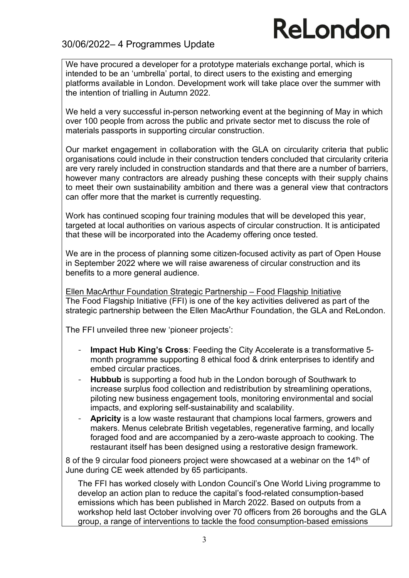### 30/06/2022– 4 Programmes Update

We have procured a developer for a prototype materials exchange portal, which is intended to be an 'umbrella' portal, to direct users to the existing and emerging platforms available in London. Development work will take place over the summer with the intention of trialling in Autumn 2022.

We held a very successful in-person networking event at the beginning of May in which over 100 people from across the public and private sector met to discuss the role of materials passports in supporting circular construction.

Our market engagement in collaboration with the GLA on circularity criteria that public organisations could include in their construction tenders concluded that circularity criteria are very rarely included in construction standards and that there are a number of barriers, however many contractors are already pushing these concepts with their supply chains to meet their own sustainability ambition and there was a general view that contractors can offer more that the market is currently requesting.

Work has continued scoping four training modules that will be developed this year, targeted at local authorities on various aspects of circular construction. It is anticipated that these will be incorporated into the Academy offering once tested.

We are in the process of planning some citizen-focused activity as part of Open House in September 2022 where we will raise awareness of circular construction and its benefits to a more general audience.

Ellen MacArthur Foundation Strategic Partnership – Food Flagship Initiative The Food Flagship Initiative (FFI) is one of the key activities delivered as part of the strategic partnership between the Ellen MacArthur Foundation, the GLA and ReLondon.

The FFI unveiled three new 'pioneer projects':

- Impact Hub King's Cross: Feeding the City Accelerate is a transformative 5month programme supporting 8 ethical food & drink enterprises to identify and embed circular practices.
- Hubbub is supporting a food hub in the London borough of Southwark to increase surplus food collection and redistribution by streamlining operations, piloting new business engagement tools, monitoring environmental and social impacts, and exploring self-sustainability and scalability.
- Apricity is a low waste restaurant that champions local farmers, growers and makers. Menus celebrate British vegetables, regenerative farming, and locally foraged food and are accompanied by a zero-waste approach to cooking. The restaurant itself has been designed using a restorative design framework.

8 of the 9 circular food pioneers project were showcased at a webinar on the  $14<sup>th</sup>$  of June during CE week attended by 65 participants.

The FFI has worked closely with London Council's One World Living programme to develop an action plan to reduce the capital's food-related consumption-based emissions which has been published in March 2022. Based on outputs from a workshop held last October involving over 70 officers from 26 boroughs and the GLA group, a range of interventions to tackle the food consumption-based emissions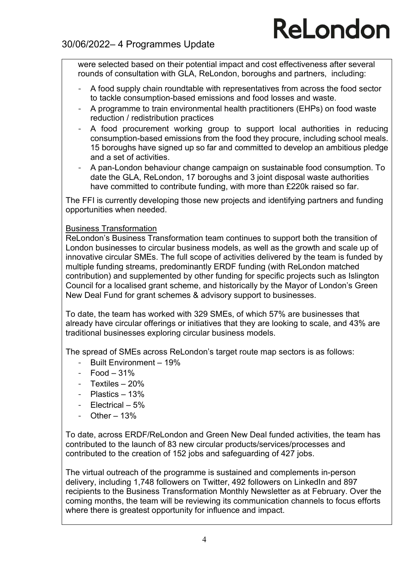were selected based on their potential impact and cost effectiveness after several rounds of consultation with GLA, ReLondon, boroughs and partners, including:

- A food supply chain roundtable with representatives from across the food sector to tackle consumption-based emissions and food losses and waste.
- A programme to train environmental health practitioners (EHPs) on food waste reduction / redistribution practices
- A food procurement working group to support local authorities in reducing consumption-based emissions from the food they procure, including school meals. 15 boroughs have signed up so far and committed to develop an ambitious pledge and a set of activities.
- A pan-London behaviour change campaign on sustainable food consumption. To date the GLA, ReLondon, 17 boroughs and 3 joint disposal waste authorities have committed to contribute funding, with more than £220k raised so far.

The FFI is currently developing those new projects and identifying partners and funding opportunities when needed.

#### Business Transformation

ReLondon's Business Transformation team continues to support both the transition of London businesses to circular business models, as well as the growth and scale up of innovative circular SMEs. The full scope of activities delivered by the team is funded by multiple funding streams, predominantly ERDF funding (with ReLondon matched contribution) and supplemented by other funding for specific projects such as Islington Council for a localised grant scheme, and historically by the Mayor of London's Green New Deal Fund for grant schemes & advisory support to businesses.

To date, the team has worked with 329 SMEs, of which 57% are businesses that already have circular offerings or initiatives that they are looking to scale, and 43% are traditional businesses exploring circular business models.

The spread of SMEs across ReLondon's target route map sectors is as follows:

- Built Environment 19%
- $-$  Food  $-31%$
- Textiles 20%
- Plastics 13%
- Electrical 5%
- Other 13%

To date, across ERDF/ReLondon and Green New Deal funded activities, the team has contributed to the launch of 83 new circular products/services/processes and contributed to the creation of 152 jobs and safeguarding of 427 jobs.

The virtual outreach of the programme is sustained and complements in-person delivery, including 1,748 followers on Twitter, 492 followers on LinkedIn and 897 recipients to the Business Transformation Monthly Newsletter as at February. Over the coming months, the team will be reviewing its communication channels to focus efforts where there is greatest opportunity for influence and impact.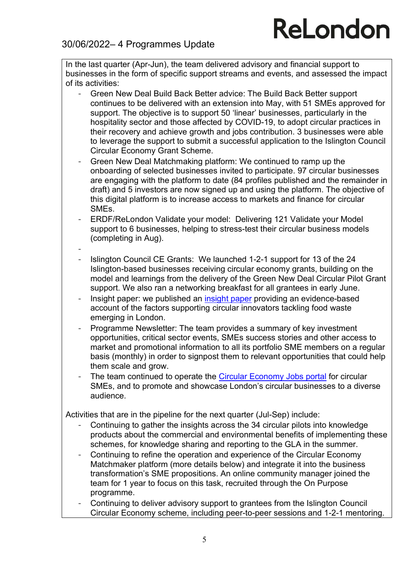### 30/06/2022– 4 Programmes Update

In the last quarter (Apr-Jun), the team delivered advisory and financial support to businesses in the form of specific support streams and events, and assessed the impact of its activities:

- Green New Deal Build Back Better advice: The Build Back Better support continues to be delivered with an extension into May, with 51 SMEs approved for support. The objective is to support 50 'linear' businesses, particularly in the hospitality sector and those affected by COVID-19, to adopt circular practices in their recovery and achieve growth and jobs contribution. 3 businesses were able to leverage the support to submit a successful application to the Islington Council Circular Economy Grant Scheme.
- Green New Deal Matchmaking platform: We continued to ramp up the onboarding of selected businesses invited to participate. 97 circular businesses are engaging with the platform to date (84 profiles published and the remainder in draft) and 5 investors are now signed up and using the platform. The objective of this digital platform is to increase access to markets and finance for circular SMEs.
- ERDF/ReLondon Validate your model: Delivering 121 Validate your Model support to 6 businesses, helping to stress-test their circular business models (completing in Aug).
- - Islington Council CE Grants: We launched 1-2-1 support for 13 of the 24 Islington-based businesses receiving circular economy grants, building on the model and learnings from the delivery of the Green New Deal Circular Pilot Grant support. We also ran a networking breakfast for all grantees in early June.
- Insight paper: we published an insight paper providing an evidence-based account of the factors supporting circular innovators tackling food waste emerging in London.
- Programme Newsletter: The team provides a summary of key investment opportunities, critical sector events, SMEs success stories and other access to market and promotional information to all its portfolio SME members on a regular basis (monthly) in order to signpost them to relevant opportunities that could help them scale and grow.
- The team continued to operate the Circular Economy Jobs portal for circular SMEs, and to promote and showcase London's circular businesses to a diverse audience.

Activities that are in the pipeline for the next quarter (Jul-Sep) include:

- Continuing to gather the insights across the 34 circular pilots into knowledge products about the commercial and environmental benefits of implementing these schemes, for knowledge sharing and reporting to the GLA in the summer.
- Continuing to refine the operation and experience of the Circular Economy Matchmaker platform (more details below) and integrate it into the business transformation's SME propositions. An online community manager joined the team for 1 year to focus on this task, recruited through the On Purpose programme.
- Continuing to deliver advisory support to grantees from the Islington Council Circular Economy scheme, including peer-to-peer sessions and 1-2-1 mentoring.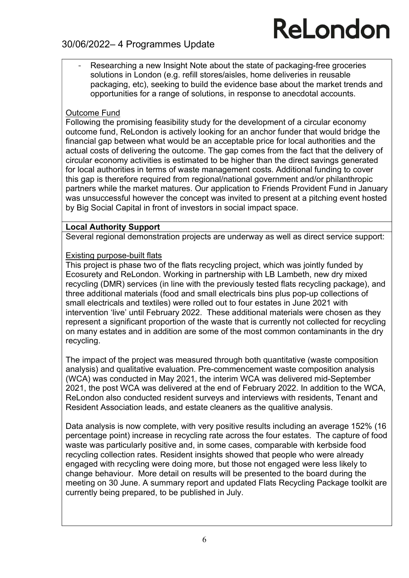### 30/06/2022– 4 Programmes Update

Researching a new Insight Note about the state of packaging-free groceries solutions in London (e.g. refill stores/aisles, home deliveries in reusable packaging, etc), seeking to build the evidence base about the market trends and opportunities for a range of solutions, in response to anecdotal accounts.

#### Outcome Fund

Following the promising feasibility study for the development of a circular economy outcome fund, ReLondon is actively looking for an anchor funder that would bridge the financial gap between what would be an acceptable price for local authorities and the actual costs of delivering the outcome. The gap comes from the fact that the delivery of circular economy activities is estimated to be higher than the direct savings generated for local authorities in terms of waste management costs. Additional funding to cover this gap is therefore required from regional/national government and/or philanthropic partners while the market matures. Our application to Friends Provident Fund in January was unsuccessful however the concept was invited to present at a pitching event hosted by Big Social Capital in front of investors in social impact space.

#### Local Authority Support

Several regional demonstration projects are underway as well as direct service support:

#### Existing purpose-built flats

This project is phase two of the flats recycling project, which was jointly funded by Ecosurety and ReLondon. Working in partnership with LB Lambeth, new dry mixed recycling (DMR) services (in line with the previously tested flats recycling package), and three additional materials (food and small electricals bins plus pop-up collections of small electricals and textiles) were rolled out to four estates in June 2021 with intervention 'live' until February 2022. These additional materials were chosen as they represent a significant proportion of the waste that is currently not collected for recycling on many estates and in addition are some of the most common contaminants in the dry recycling.

The impact of the project was measured through both quantitative (waste composition analysis) and qualitative evaluation. Pre-commencement waste composition analysis (WCA) was conducted in May 2021, the interim WCA was delivered mid-September 2021, the post WCA was delivered at the end of February 2022. In addition to the WCA, ReLondon also conducted resident surveys and interviews with residents, Tenant and Resident Association leads, and estate cleaners as the qualitive analysis.

Data analysis is now complete, with very positive results including an average 152% (16 percentage point) increase in recycling rate across the four estates. The capture of food waste was particularly positive and, in some cases, comparable with kerbside food recycling collection rates. Resident insights showed that people who were already engaged with recycling were doing more, but those not engaged were less likely to change behaviour. More detail on results will be presented to the board during the meeting on 30 June. A summary report and updated Flats Recycling Package toolkit are currently being prepared, to be published in July.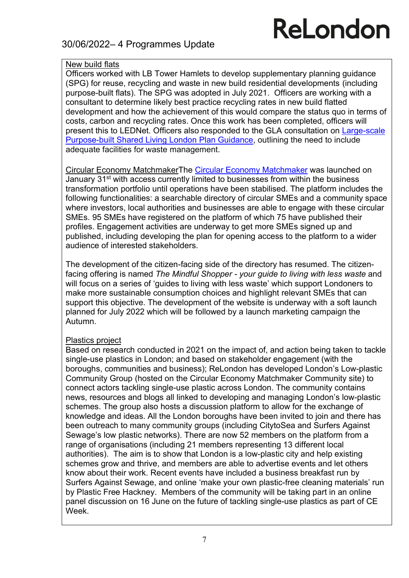### 30/06/2022– 4 Programmes Update

## ReLondon

#### New build flats

Officers worked with LB Tower Hamlets to develop supplementary planning guidance (SPG) for reuse, recycling and waste in new build residential developments (including purpose-built flats). The SPG was adopted in July 2021. Officers are working with a consultant to determine likely best practice recycling rates in new build flatted development and how the achievement of this would compare the status quo in terms of costs, carbon and recycling rates. Once this work has been completed, officers will present this to LEDNet. Officers also responded to the GLA consultation on Large-scale Purpose-built Shared Living London Plan Guidance, outlining the need to include adequate facilities for waste management.

Circular Economy MatchmakerThe Circular Economy Matchmaker was launched on January 31<sup>st</sup> with access currently limited to businesses from within the business transformation portfolio until operations have been stabilised. The platform includes the following functionalities: a searchable directory of circular SMEs and a community space where investors, local authorities and businesses are able to engage with these circular SMEs. 95 SMEs have registered on the platform of which 75 have published their profiles. Engagement activities are underway to get more SMEs signed up and published, including developing the plan for opening access to the platform to a wider audience of interested stakeholders.

The development of the citizen-facing side of the directory has resumed. The citizenfacing offering is named The Mindful Shopper - your quide to living with less waste and will focus on a series of 'quides to living with less waste' which support Londoners to make more sustainable consumption choices and highlight relevant SMEs that can support this objective. The development of the website is underway with a soft launch planned for July 2022 which will be followed by a launch marketing campaign the Autumn.

#### Plastics project

Based on research conducted in 2021 on the impact of, and action being taken to tackle single-use plastics in London; and based on stakeholder engagement (with the boroughs, communities and business); ReLondon has developed London's Low-plastic Community Group (hosted on the Circular Economy Matchmaker Community site) to connect actors tackling single-use plastic across London. The community contains news, resources and blogs all linked to developing and managing London's low-plastic schemes. The group also hosts a discussion platform to allow for the exchange of knowledge and ideas. All the London boroughs have been invited to join and there has been outreach to many community groups (including CitytoSea and Surfers Against Sewage's low plastic networks). There are now 52 members on the platform from a range of organisations (including 21 members representing 13 different local authorities). The aim is to show that London is a low-plastic city and help existing schemes grow and thrive, and members are able to advertise events and let others know about their work. Recent events have included a business breakfast run by Surfers Against Sewage, and online 'make your own plastic-free cleaning materials' run by Plastic Free Hackney. Members of the community will be taking part in an online panel discussion on 16 June on the future of tackling single-use plastics as part of CE Week.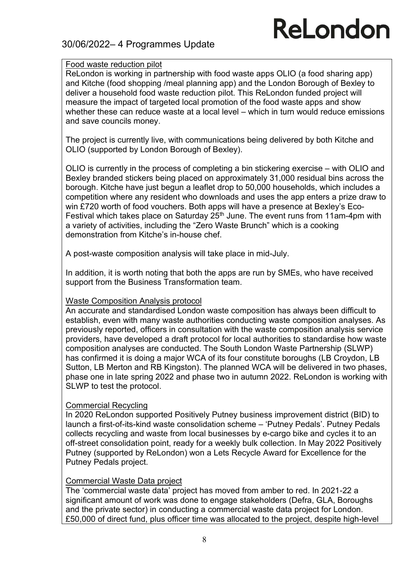### 30/06/2022– 4 Programmes Update

## ReLondon

#### Food waste reduction pilot

ReLondon is working in partnership with food waste apps OLIO (a food sharing app) and Kitche (food shopping /meal planning app) and the London Borough of Bexley to deliver a household food waste reduction pilot. This ReLondon funded project will measure the impact of targeted local promotion of the food waste apps and show whether these can reduce waste at a local level – which in turn would reduce emissions and save councils money.

The project is currently live, with communications being delivered by both Kitche and OLIO (supported by London Borough of Bexley).

OLIO is currently in the process of completing a bin stickering exercise – with OLIO and Bexley branded stickers being placed on approximately 31,000 residual bins across the borough. Kitche have just begun a leaflet drop to 50,000 households, which includes a competition where any resident who downloads and uses the app enters a prize draw to win £720 worth of food vouchers. Both apps will have a presence at Bexley's Eco-Festival which takes place on Saturday 25<sup>th</sup> June. The event runs from 11am-4pm with a variety of activities, including the "Zero Waste Brunch" which is a cooking demonstration from Kitche's in-house chef.

A post-waste composition analysis will take place in mid-July.

In addition, it is worth noting that both the apps are run by SMEs, who have received support from the Business Transformation team.

#### Waste Composition Analysis protocol

An accurate and standardised London waste composition has always been difficult to establish, even with many waste authorities conducting waste composition analyses. As previously reported, officers in consultation with the waste composition analysis service providers, have developed a draft protocol for local authorities to standardise how waste composition analyses are conducted. The South London Waste Partnership (SLWP) has confirmed it is doing a major WCA of its four constitute boroughs (LB Croydon, LB Sutton, LB Merton and RB Kingston). The planned WCA will be delivered in two phases, phase one in late spring 2022 and phase two in autumn 2022. ReLondon is working with SLWP to test the protocol.

#### Commercial Recycling

In 2020 ReLondon supported Positively Putney business improvement district (BID) to launch a first-of-its-kind waste consolidation scheme – 'Putney Pedals'. Putney Pedals collects recycling and waste from local businesses by e-cargo bike and cycles it to an off-street consolidation point, ready for a weekly bulk collection. In May 2022 Positively Putney (supported by ReLondon) won a Lets Recycle Award for Excellence for the Putney Pedals project.

#### Commercial Waste Data project

The 'commercial waste data' project has moved from amber to red. In 2021-22 a significant amount of work was done to engage stakeholders (Defra, GLA, Boroughs and the private sector) in conducting a commercial waste data project for London. £50,000 of direct fund, plus officer time was allocated to the project, despite high-level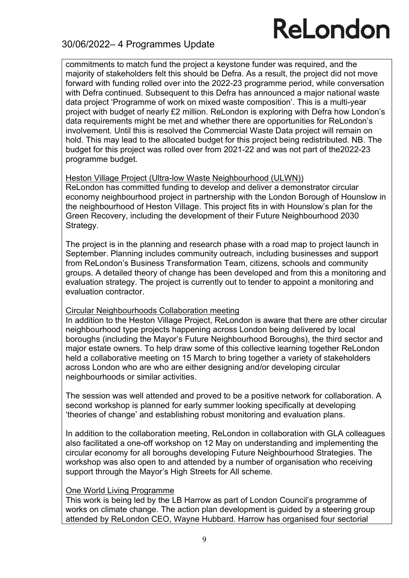### 30/06/2022– 4 Programmes Update

commitments to match fund the project a keystone funder was required, and the majority of stakeholders felt this should be Defra. As a result, the project did not move forward with funding rolled over into the 2022-23 programme period, while conversation with Defra continued. Subsequent to this Defra has announced a major national waste data project 'Programme of work on mixed waste composition'. This is a multi-year project with budget of nearly £2 million. ReLondon is exploring with Defra how London's data requirements might be met and whether there are opportunities for ReLondon's involvement. Until this is resolved the Commercial Waste Data project will remain on hold. This may lead to the allocated budget for this project being redistributed. NB. The budget for this project was rolled over from 2021-22 and was not part of the2022-23 programme budget.

#### Heston Village Project (Ultra-low Waste Neighbourhood (ULWN))

ReLondon has committed funding to develop and deliver a demonstrator circular economy neighbourhood project in partnership with the London Borough of Hounslow in the neighbourhood of Heston Village. This project fits in with Hounslow's plan for the Green Recovery, including the development of their Future Neighbourhood 2030 Strategy.

The project is in the planning and research phase with a road map to project launch in September. Planning includes community outreach, including businesses and support from ReLondon's Business Transformation Team, citizens, schools and community groups. A detailed theory of change has been developed and from this a monitoring and evaluation strategy. The project is currently out to tender to appoint a monitoring and evaluation contractor.

#### Circular Neighbourhoods Collaboration meeting

In addition to the Heston Village Project, ReLondon is aware that there are other circular neighbourhood type projects happening across London being delivered by local boroughs (including the Mayor's Future Neighbourhood Boroughs), the third sector and major estate owners. To help draw some of this collective learning together ReLondon held a collaborative meeting on 15 March to bring together a variety of stakeholders across London who are who are either designing and/or developing circular neighbourhoods or similar activities.

The session was well attended and proved to be a positive network for collaboration. A second workshop is planned for early summer looking specifically at developing 'theories of change' and establishing robust monitoring and evaluation plans.

In addition to the collaboration meeting, ReLondon in collaboration with GLA colleagues also facilitated a one-off workshop on 12 May on understanding and implementing the circular economy for all boroughs developing Future Neighbourhood Strategies. The workshop was also open to and attended by a number of organisation who receiving support through the Mayor's High Streets for All scheme.

#### One World Living Programme

This work is being led by the LB Harrow as part of London Council's programme of works on climate change. The action plan development is guided by a steering group attended by ReLondon CEO, Wayne Hubbard. Harrow has organised four sectorial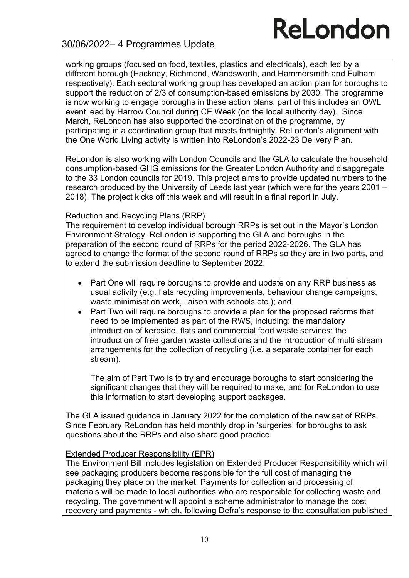### 30/06/2022– 4 Programmes Update

working groups (focused on food, textiles, plastics and electricals), each led by a different borough (Hackney, Richmond, Wandsworth, and Hammersmith and Fulham respectively). Each sectoral working group has developed an action plan for boroughs to support the reduction of 2/3 of consumption-based emissions by 2030. The programme is now working to engage boroughs in these action plans, part of this includes an OWL event lead by Harrow Council during CE Week (on the local authority day). Since March, ReLondon has also supported the coordination of the programme, by participating in a coordination group that meets fortnightly. ReLondon's alignment with the One World Living activity is written into ReLondon's 2022-23 Delivery Plan.

ReLondon is also working with London Councils and the GLA to calculate the household consumption-based GHG emissions for the Greater London Authority and disaggregate to the 33 London councils for 2019. This project aims to provide updated numbers to the research produced by the University of Leeds last year (which were for the years 2001 – 2018). The project kicks off this week and will result in a final report in July.

#### Reduction and Recycling Plans (RRP)

The requirement to develop individual borough RRPs is set out in the Mayor's London Environment Strategy. ReLondon is supporting the GLA and boroughs in the preparation of the second round of RRPs for the period 2022-2026. The GLA has agreed to change the format of the second round of RRPs so they are in two parts, and to extend the submission deadline to September 2022.

- Part One will require boroughs to provide and update on any RRP business as usual activity (e.g. flats recycling improvements, behaviour change campaigns, waste minimisation work, liaison with schools etc.); and
- Part Two will require boroughs to provide a plan for the proposed reforms that need to be implemented as part of the RWS, including: the mandatory introduction of kerbside, flats and commercial food waste services; the introduction of free garden waste collections and the introduction of multi stream arrangements for the collection of recycling (i.e. a separate container for each stream).

The aim of Part Two is to try and encourage boroughs to start considering the significant changes that they will be required to make, and for ReLondon to use this information to start developing support packages.

The GLA issued guidance in January 2022 for the completion of the new set of RRPs. Since February ReLondon has held monthly drop in 'surgeries' for boroughs to ask questions about the RRPs and also share good practice.

#### Extended Producer Responsibility (EPR)

The Environment Bill includes legislation on Extended Producer Responsibility which will see packaging producers become responsible for the full cost of managing the packaging they place on the market. Payments for collection and processing of materials will be made to local authorities who are responsible for collecting waste and recycling. The government will appoint a scheme administrator to manage the cost recovery and payments - which, following Defra's response to the consultation published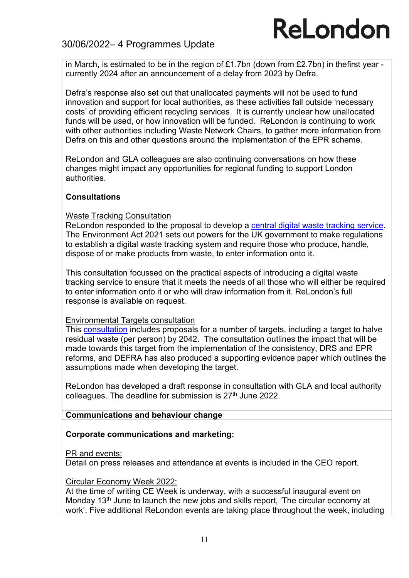### 30/06/2022– 4 Programmes Update

in March, is estimated to be in the region of £1.7bn (down from £2.7bn) in thefirst year currently 2024 after an announcement of a delay from 2023 by Defra.

Defra's response also set out that unallocated payments will not be used to fund innovation and support for local authorities, as these activities fall outside 'necessary costs' of providing efficient recycling services. It is currently unclear how unallocated funds will be used, or how innovation will be funded. ReLondon is continuing to work with other authorities including Waste Network Chairs, to gather more information from Defra on this and other questions around the implementation of the EPR scheme.

ReLondon and GLA colleagues are also continuing conversations on how these changes might impact any opportunities for regional funding to support London authorities.

#### **Consultations**

#### Waste Tracking Consultation

ReLondon responded to the proposal to develop a central digital waste tracking service. The Environment Act 2021 sets out powers for the UK government to make regulations to establish a digital waste tracking system and require those who produce, handle, dispose of or make products from waste, to enter information onto it.

This consultation focussed on the practical aspects of introducing a digital waste tracking service to ensure that it meets the needs of all those who will either be required to enter information onto it or who will draw information from it. ReLondon's full response is available on request.

#### Environmental Targets consultation

This consultation includes proposals for a number of targets, including a target to halve residual waste (per person) by 2042. The consultation outlines the impact that will be made towards this target from the implementation of the consistency, DRS and EPR reforms, and DEFRA has also produced a supporting evidence paper which outlines the assumptions made when developing the target.

ReLondon has developed a draft response in consultation with GLA and local authority colleagues. The deadline for submission is 27<sup>th</sup> June 2022.

#### Communications and behaviour change

#### Corporate communications and marketing:

#### PR and events:

Detail on press releases and attendance at events is included in the CEO report.

#### Circular Economy Week 2022:

At the time of writing CE Week is underway, with a successful inaugural event on Monday 13th June to launch the new jobs and skills report, 'The circular economy at work'. Five additional ReLondon events are taking place throughout the week, including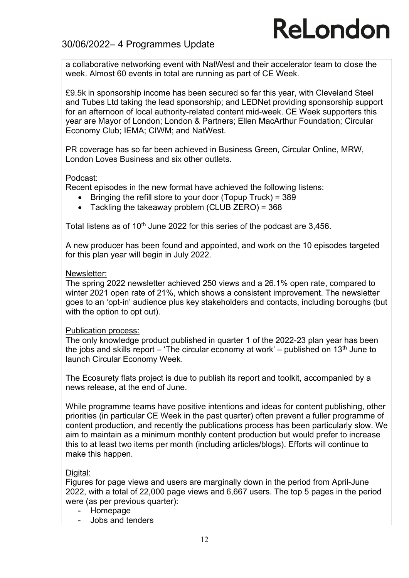### 30/06/2022– 4 Programmes Update

a collaborative networking event with NatWest and their accelerator team to close the week. Almost 60 events in total are running as part of CE Week.

£9.5k in sponsorship income has been secured so far this year, with Cleveland Steel and Tubes Ltd taking the lead sponsorship; and LEDNet providing sponsorship support for an afternoon of local authority-related content mid-week. CE Week supporters this year are Mayor of London; London & Partners; Ellen MacArthur Foundation; Circular Economy Club; IEMA; CIWM; and NatWest.

PR coverage has so far been achieved in Business Green, Circular Online, MRW, London Loves Business and six other outlets.

#### Podcast:

Recent episodes in the new format have achieved the following listens:

- $\bullet$  Bringing the refill store to your door (Topup Truck) = 389
- Tackling the takeaway problem (CLUB ZERO) = 368

Total listens as of 10<sup>th</sup> June 2022 for this series of the podcast are 3.456.

A new producer has been found and appointed, and work on the 10 episodes targeted for this plan year will begin in July 2022.

#### Newsletter:

The spring 2022 newsletter achieved 250 views and a 26.1% open rate, compared to winter 2021 open rate of 21%, which shows a consistent improvement. The newsletter goes to an 'opt-in' audience plus key stakeholders and contacts, including boroughs (but with the option to opt out).

#### Publication process:

The only knowledge product published in quarter 1 of the 2022-23 plan year has been the jobs and skills report – 'The circular economy at work' – published on 13<sup>th</sup> June to launch Circular Economy Week.

The Ecosurety flats project is due to publish its report and toolkit, accompanied by a news release, at the end of June.

While programme teams have positive intentions and ideas for content publishing, other priorities (in particular CE Week in the past quarter) often prevent a fuller programme of content production, and recently the publications process has been particularly slow. We aim to maintain as a minimum monthly content production but would prefer to increase this to at least two items per month (including articles/blogs). Efforts will continue to make this happen.

#### Digital:

Figures for page views and users are marginally down in the period from April-June 2022, with a total of 22,000 page views and 6,667 users. The top 5 pages in the period were (as per previous quarter):

- Homepage
- Jobs and tenders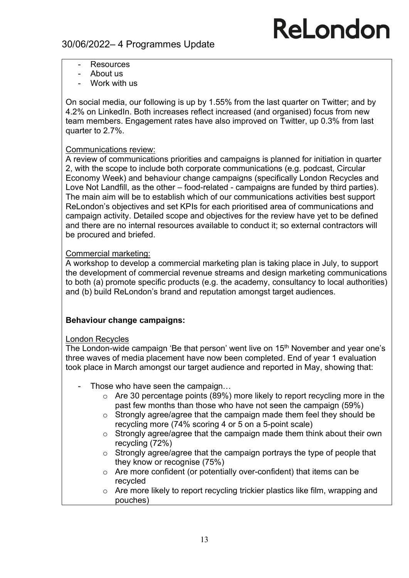- **Resources**
- About us
- Work with us

On social media, our following is up by 1.55% from the last quarter on Twitter; and by 4.2% on LinkedIn. Both increases reflect increased (and organised) focus from new team members. Engagement rates have also improved on Twitter, up 0.3% from last quarter to 2.7%.

#### Communications review:

A review of communications priorities and campaigns is planned for initiation in quarter 2, with the scope to include both corporate communications (e.g. podcast, Circular Economy Week) and behaviour change campaigns (specifically London Recycles and Love Not Landfill, as the other – food-related - campaigns are funded by third parties). The main aim will be to establish which of our communications activities best support ReLondon's objectives and set KPIs for each prioritised area of communications and campaign activity. Detailed scope and objectives for the review have yet to be defined and there are no internal resources available to conduct it; so external contractors will be procured and briefed.

#### Commercial marketing:

A workshop to develop a commercial marketing plan is taking place in July, to support the development of commercial revenue streams and design marketing communications to both (a) promote specific products (e.g. the academy, consultancy to local authorities) and (b) build ReLondon's brand and reputation amongst target audiences.

#### Behaviour change campaigns:

#### London Recycles

The London-wide campaign 'Be that person' went live on 15<sup>th</sup> November and year one's three waves of media placement have now been completed. End of year 1 evaluation took place in March amongst our target audience and reported in May, showing that:

- Those who have seen the campaign...
	- o Are 30 percentage points (89%) more likely to report recycling more in the past few months than those who have not seen the campaign (59%)
	- o Strongly agree/agree that the campaign made them feel they should be recycling more (74% scoring 4 or 5 on a 5-point scale)
	- o Strongly agree/agree that the campaign made them think about their own recycling (72%)
	- o Strongly agree/agree that the campaign portrays the type of people that they know or recognise (75%)
	- o Are more confident (or potentially over-confident) that items can be recycled
	- o Are more likely to report recycling trickier plastics like film, wrapping and pouches)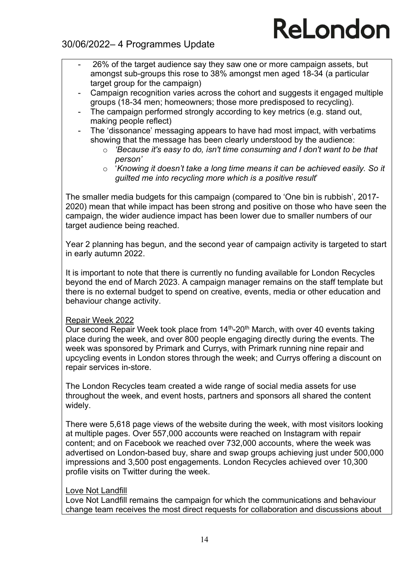### 30/06/2022– 4 Programmes Update

- 26% of the target audience say they saw one or more campaign assets, but amongst sub-groups this rose to 38% amongst men aged 18-34 (a particular target group for the campaign)
- Campaign recognition varies across the cohort and suggests it engaged multiple groups (18-34 men; homeowners; those more predisposed to recycling).
- The campaign performed strongly according to key metrics (e.g. stand out, making people reflect)
- The 'dissonance' messaging appears to have had most impact, with verbatims showing that the message has been clearly understood by the audience:
	- o 'Because it's easy to do, isn't time consuming and I don't want to be that person'
	- o 'Knowing it doesn't take a long time means it can be achieved easily. So it guilted me into recycling more which is a positive result'

The smaller media budgets for this campaign (compared to 'One bin is rubbish', 2017- 2020) mean that while impact has been strong and positive on those who have seen the campaign, the wider audience impact has been lower due to smaller numbers of our target audience being reached.

Year 2 planning has begun, and the second year of campaign activity is targeted to start in early autumn 2022.

It is important to note that there is currently no funding available for London Recycles beyond the end of March 2023. A campaign manager remains on the staff template but there is no external budget to spend on creative, events, media or other education and behaviour change activity.

#### Repair Week 2022

Our second Repair Week took place from 14<sup>th</sup>-20<sup>th</sup> March, with over 40 events taking place during the week, and over 800 people engaging directly during the events. The week was sponsored by Primark and Currys, with Primark running nine repair and upcycling events in London stores through the week; and Currys offering a discount on repair services in-store.

The London Recycles team created a wide range of social media assets for use throughout the week, and event hosts, partners and sponsors all shared the content widely.

There were 5,618 page views of the website during the week, with most visitors looking at multiple pages. Over 557,000 accounts were reached on Instagram with repair content; and on Facebook we reached over 732,000 accounts, where the week was advertised on London-based buy, share and swap groups achieving just under 500,000 impressions and 3,500 post engagements. London Recycles achieved over 10,300 profile visits on Twitter during the week.

#### Love Not Landfill

Love Not Landfill remains the campaign for which the communications and behaviour change team receives the most direct requests for collaboration and discussions about